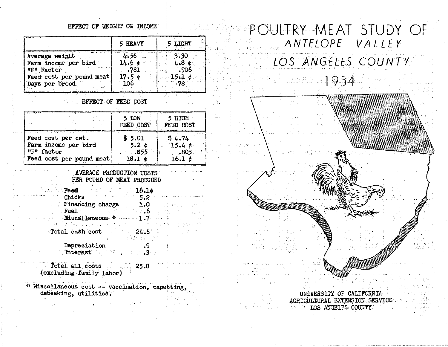## EFFECT OF WEIGHT ON INCOME

|                                        | 5 HEAVY                               | LIGHT              |
|----------------------------------------|---------------------------------------|--------------------|
| Average weight<br>Farm income per bird | 4.56<br>$\cdots$<br>14.6 <sub>0</sub> | 3.30<br>4.84       |
| "F" Factor<br>Feed cost per pound meat | .781<br>17.54                         | $-906$<br>$15.1$ ¢ |
| Days per brood                         | 106                                   |                    |

EFFECT OF FEED COST

|                          | 5 LOW<br>FEED COST | $5$ HIGH<br>FEED COST |  |  |  |  |
|--------------------------|--------------------|-----------------------|--|--|--|--|
| Feed cost per cwt.       | \$5.01             | \$4.74                |  |  |  |  |
| Farm income per bird     | 5.2c               | 15.46                 |  |  |  |  |
| "F" factor               | $\ldots$ 855       | $\cdot$ .803          |  |  |  |  |
| Feed cost per pound meat | 18.1 ¢             | 16.1 $\phi$           |  |  |  |  |

## AVERAGE PRODUCTION COSTS .PER POUND OF MEAT PRODUCED

| <b>Martin Feed Administration 16.16</b>                                                                                             |                  |  |
|-------------------------------------------------------------------------------------------------------------------------------------|------------------|--|
| $\sim$ $5.2$ . Thicks $\sim$ $5.2$ . The set of the set of the $\sim$                                                               |                  |  |
| <b>Externancing charge 1.0</b> 1.0 1.0 1.0                                                                                          |                  |  |
| in the $\mathbf{I}$ is a constant of the constant $\mathbf{b}_{\text{max}}$ is a constant of the constant $\mathbf{c}_{\text{max}}$ |                  |  |
|                                                                                                                                     |                  |  |
| 没被人的 意识 计随机设计 在自己的现在分词 机大工 机大麦 计无磁磁波 静                                                                                              |                  |  |
| $Total cash cost = 24.6$                                                                                                            |                  |  |
|                                                                                                                                     | 医超的 机三分数 超小脑的 同位 |  |

 $\frac{.9}{.3}$ 

かいかみ

Depreciation Interest ...

- Total all costs . 25.8 (excluding family labor)
- \* Miscellaneous cost -- vaccination, capetting, debeaking, utilities.





UNilTERSITY OF CALIFORNIA· AGRICULTURAL EXTENSION SERVICE LOS ANGELES COUNTY

'•-·